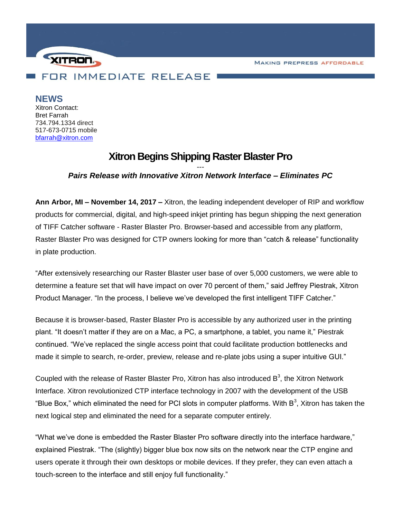**MAKING PREPRESS AFFORDABLE** 



**NEWS**

Xitron Contact: Bret Farrah 734.794.1334 direct 517-673-0715 mobile [bfarrah@xitron.com](mailto:bfarrah@xitron.com)

## **Xitron Begins Shipping Raster Blaster Pro**

## *--- Pairs Release with Innovative Xitron Network Interface – Eliminates PC*

**Ann Arbor, MI – November 14, 2017 –** Xitron, the leading independent developer of RIP and workflow products for commercial, digital, and high-speed inkjet printing has begun shipping the next generation of TIFF Catcher software - Raster Blaster Pro. Browser-based and accessible from any platform, Raster Blaster Pro was designed for CTP owners looking for more than "catch & release" functionality in plate production.

"After extensively researching our Raster Blaster user base of over 5,000 customers, we were able to determine a feature set that will have impact on over 70 percent of them," said Jeffrey Piestrak, Xitron Product Manager. "In the process, I believe we've developed the first intelligent TIFF Catcher."

Because it is browser-based, Raster Blaster Pro is accessible by any authorized user in the printing plant. "It doesn't matter if they are on a Mac, a PC, a smartphone, a tablet, you name it," Piestrak continued. "We've replaced the single access point that could facilitate production bottlenecks and made it simple to search, re-order, preview, release and re-plate jobs using a super intuitive GUI."

Coupled with the release of Raster Blaster Pro, Xitron has also introduced  $B^3$ , the Xitron Network Interface. Xitron revolutionized CTP interface technology in 2007 with the development of the USB "Blue Box," which eliminated the need for PCI slots in computer platforms. With B<sup>3</sup>, Xitron has taken the next logical step and eliminated the need for a separate computer entirely.

"What we've done is embedded the Raster Blaster Pro software directly into the interface hardware," explained Piestrak. "The (slightly) bigger blue box now sits on the network near the CTP engine and users operate it through their own desktops or mobile devices. If they prefer, they can even attach a touch-screen to the interface and still enjoy full functionality."